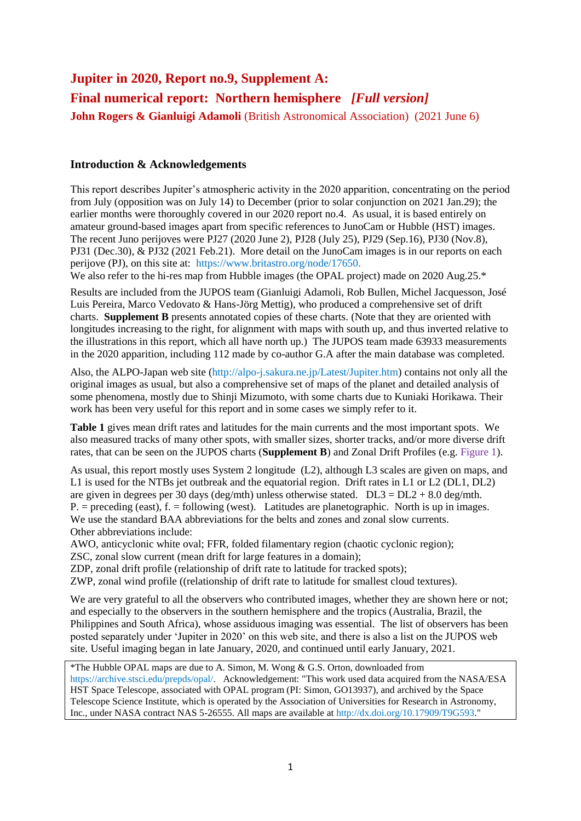# **Jupiter in 2020, Report no.9, Supplement A: Final numerical report: Northern hemisphere** *[Full version]* **John Rogers & Gianluigi Adamoli** (British Astronomical Association) (2021 June 6)

# **Introduction & Acknowledgements**

This report describes Jupiter's atmospheric activity in the 2020 apparition, concentrating on the period from July (opposition was on July 14) to December (prior to solar conjunction on 2021 Jan.29); the earlier months were thoroughly covered in our 2020 report no.4. As usual, it is based entirely on amateur ground-based images apart from specific references to JunoCam or Hubble (HST) images. The recent Juno perijoves were PJ27 (2020 June 2), PJ28 (July 25), PJ29 (Sep.16), PJ30 (Nov.8), PJ31 (Dec.30), & PJ32 (2021 Feb.21). More detail on the JunoCam images is in our reports on each perijove (PJ), on this site at: https://www.britastro.org/node/17650.

We also refer to the hi-res map from Hubble images (the OPAL project) made on 2020 Aug.25.\*

Results are included from the JUPOS team (Gianluigi Adamoli, Rob Bullen, Michel Jacquesson, José Luis Pereira, Marco Vedovato & Hans-Jörg Mettig), who produced a comprehensive set of drift charts. **Supplement B** presents annotated copies of these charts. (Note that they are oriented with longitudes increasing to the right, for alignment with maps with south up, and thus inverted relative to the illustrations in this report, which all have north up.) The JUPOS team made 63933 measurements in the 2020 apparition, including 112 made by co-author G.A after the main database was completed.

Also, the ALPO-Japan web site (http://alpo-j.sakura.ne.jp/Latest/Jupiter.htm) contains not only all the original images as usual, but also a comprehensive set of maps of the planet and detailed analysis of some phenomena, mostly due to Shinji Mizumoto, with some charts due to Kuniaki Horikawa. Their work has been very useful for this report and in some cases we simply refer to it.

**Table 1** gives mean drift rates and latitudes for the main currents and the most important spots. We also measured tracks of many other spots, with smaller sizes, shorter tracks, and/or more diverse drift rates, that can be seen on the JUPOS charts (**Supplement B**) and Zonal Drift Profiles (e.g. Figure 1).

As usual, this report mostly uses System 2 longitude (L2), although L3 scales are given on maps, and L1 is used for the NTBs jet outbreak and the equatorial region. Drift rates in L1 or L2 (DL1, DL2) are given in degrees per 30 days (deg/mth) unless otherwise stated.  $DL3 = DL2 + 8.0$  deg/mth.  $P = \text{preceding (east)}$ ,  $f = \text{following (west)}$ . Latitudes are planetographic. North is up in images. We use the standard BAA abbreviations for the belts and zones and zonal slow currents. Other abbreviations include:

AWO, anticyclonic white oval; FFR, folded filamentary region (chaotic cyclonic region); ZSC, zonal slow current (mean drift for large features in a domain);

ZDP, zonal drift profile (relationship of drift rate to latitude for tracked spots);

ZWP, zonal wind profile ((relationship of drift rate to latitude for smallest cloud textures).

We are very grateful to all the observers who contributed images, whether they are shown here or not; and especially to the observers in the southern hemisphere and the tropics (Australia, Brazil, the Philippines and South Africa), whose assiduous imaging was essential. The list of observers has been posted separately under 'Jupiter in 2020' on this web site, and there is also a list on the JUPOS web site. Useful imaging began in late January, 2020, and continued until early January, 2021.

\*The Hubble OPAL maps are due to A. Simon, M. Wong & G.S. Orton, downloaded from https://archive.stsci.edu/prepds/opal/. Acknowledgement: "This work used data acquired from the NASA/ESA HST Space Telescope, associated with OPAL program (PI: Simon, GO13937), and archived by the Space Telescope Science Institute, which is operated by the Association of Universities for Research in Astronomy, Inc., under NASA contract NAS 5-26555. All maps are available at http://dx.doi.org/10.17909/T9G593."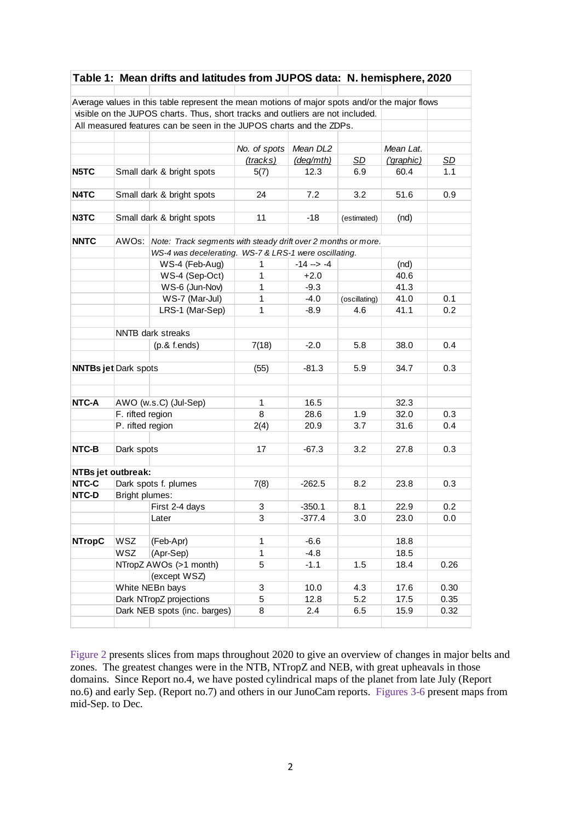|                    |                                                                                     | Table 1: Mean drifts and latitudes from JUPOS data: N. hemisphere, 2020                       |              |                 |               |            |           |  |
|--------------------|-------------------------------------------------------------------------------------|-----------------------------------------------------------------------------------------------|--------------|-----------------|---------------|------------|-----------|--|
|                    |                                                                                     |                                                                                               |              |                 |               |            |           |  |
|                    |                                                                                     | Average values in this table represent the mean motions of major spots and/or the major flows |              |                 |               |            |           |  |
|                    |                                                                                     | visible on the JUPOS charts. Thus, short tracks and outliers are not included.                |              |                 |               |            |           |  |
|                    |                                                                                     | All measured features can be seen in the JUPOS charts and the ZDPs.                           |              |                 |               |            |           |  |
|                    |                                                                                     |                                                                                               |              |                 |               |            |           |  |
|                    |                                                                                     |                                                                                               | No. of spots | Mean DL2        |               | Mean Lat.  |           |  |
|                    |                                                                                     |                                                                                               | (tracks)     | (deg/mth)       | <b>SD</b>     | ('graphic) | <u>SD</u> |  |
| N5TC               |                                                                                     | Small dark & bright spots                                                                     | 5(7)         | 12.3            | 6.9           | 60.4       | 1.1       |  |
|                    |                                                                                     |                                                                                               |              |                 |               |            |           |  |
| N4TC               |                                                                                     | Small dark & bright spots                                                                     | 24           | 7.2             | 3.2           | 51.6       | 0.9       |  |
|                    |                                                                                     |                                                                                               |              |                 |               |            |           |  |
| N3TC               |                                                                                     | Small dark & bright spots                                                                     | 11           | -18             | (estimated)   | (nd)       |           |  |
| <b>NNTC</b>        | AWO <sub>s</sub> :<br>Note: Track segments with steady drift over 2 months or more. |                                                                                               |              |                 |               |            |           |  |
|                    |                                                                                     | WS-4 was decelerating. WS-7 & LRS-1 were oscillating.                                         |              |                 |               |            |           |  |
|                    |                                                                                     | WS-4 (Feb-Aug)                                                                                | 1            | $-14$ $-5$ $-4$ |               | (nd)       |           |  |
|                    |                                                                                     | WS-4 (Sep-Oct)                                                                                | 1            | $+2.0$          |               | 40.6       |           |  |
|                    |                                                                                     | WS-6 (Jun-Nov)                                                                                | 1            | $-9.3$          |               | 41.3       |           |  |
|                    |                                                                                     | WS-7 (Mar-Jul)                                                                                | 1            | $-4.0$          | (oscillating) | 41.0       | 0.1       |  |
|                    |                                                                                     | LRS-1 (Mar-Sep)                                                                               | 1            | $-8.9$          | 4.6           | 41.1       | 0.2       |  |
|                    |                                                                                     |                                                                                               |              |                 |               |            |           |  |
|                    |                                                                                     | NNTB dark streaks                                                                             |              |                 |               |            |           |  |
|                    |                                                                                     | $(p.\&$ f.ends)                                                                               | 7(18)        | $-2.0$          | 5.8           | 38.0       | 0.4       |  |
|                    |                                                                                     |                                                                                               |              |                 |               |            |           |  |
|                    | <b>NNTBs jet Dark spots</b>                                                         |                                                                                               | (55)         | $-81.3$         | 5.9           | 34.7       | 0.3       |  |
|                    |                                                                                     |                                                                                               |              |                 |               |            |           |  |
|                    |                                                                                     |                                                                                               |              |                 |               |            |           |  |
| NTC-A              |                                                                                     | AWO (w.s.C) (Jul-Sep)                                                                         | 1            | 16.5            |               | 32.3       |           |  |
|                    | F. rifted region                                                                    |                                                                                               | 8            | 28.6            | 1.9           | 32.0       | 0.3       |  |
|                    | P. rifted region                                                                    |                                                                                               | 2(4)         | 20.9            | 3.7           | 31.6       | 0.4       |  |
| NTC-B              | Dark spots                                                                          |                                                                                               | 17           | $-67.3$         | 3.2           | 27.8       | 0.3       |  |
|                    |                                                                                     |                                                                                               |              |                 |               |            |           |  |
| NTBs jet outbreak: |                                                                                     |                                                                                               |              |                 |               |            |           |  |
| NTC-C              |                                                                                     | Dark spots f. plumes                                                                          | 7(8)         | $-262.5$        | 8.2           | 23.8       | 0.3       |  |
| NTC-D              | Bright plumes:                                                                      |                                                                                               |              |                 |               |            |           |  |
|                    |                                                                                     | First 2-4 days                                                                                | 3            | $-350.1$        | 8.1           | 22.9       | 0.2       |  |
|                    |                                                                                     | Later                                                                                         | 3            | $-377.4$        | 3.0           | 23.0       | 0.0       |  |
|                    |                                                                                     |                                                                                               |              |                 |               |            |           |  |
| <b>NTropC</b>      | WSZ                                                                                 | (Feb-Apr)                                                                                     | 1            | $-6.6$          |               | 18.8       |           |  |
|                    | <b>WSZ</b><br>(Apr-Sep)                                                             |                                                                                               | $\mathbf{1}$ | $-4.8$          |               | 18.5       |           |  |
|                    | NTropZ AWOs (>1 month)                                                              |                                                                                               | 5            | $-1.1$          | 1.5           | 18.4       | 0.26      |  |
|                    | (except WSZ)                                                                        |                                                                                               |              |                 |               |            |           |  |
|                    |                                                                                     | White NEBn bays                                                                               | 3            | 10.0            | 4.3           | 17.6       | 0.30      |  |
|                    |                                                                                     | Dark NTropZ projections                                                                       | 5            | 12.8            | 5.2           | 17.5       | 0.35      |  |
|                    |                                                                                     | Dark NEB spots (inc. barges)                                                                  | 8            | 2.4             | 6.5           | 15.9       | 0.32      |  |
|                    |                                                                                     |                                                                                               |              |                 |               |            |           |  |

Figure 2 presents slices from maps throughout 2020 to give an overview of changes in major belts and zones. The greatest changes were in the NTB, NTropZ and NEB, with great upheavals in those domains. Since Report no.4, we have posted cylindrical maps of the planet from late July (Report no.6) and early Sep. (Report no.7) and others in our JunoCam reports. Figures 3-6 present maps from mid-Sep. to Dec*.*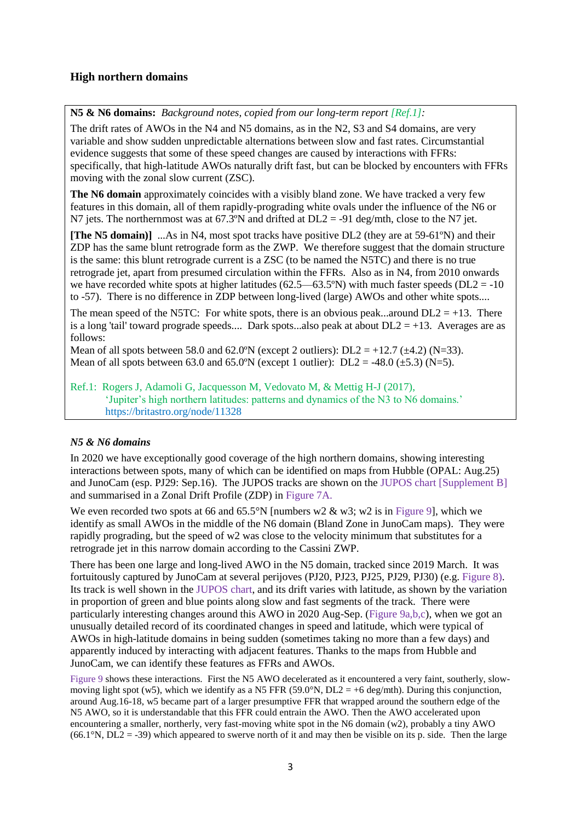# **High northern domains**

**N5 & N6 domains:** *Background notes, copied from our long-term report [Ref.1]:*

The drift rates of AWOs in the N4 and N5 domains, as in the N2, S3 and S4 domains, are very variable and show sudden unpredictable alternations between slow and fast rates. Circumstantial evidence suggests that some of these speed changes are caused by interactions with FFRs: specifically, that high-latitude AWOs naturally drift fast, but can be blocked by encounters with FFRs moving with the zonal slow current (ZSC).

**The N6 domain** approximately coincides with a visibly bland zone. We have tracked a very few features in this domain, all of them rapidly-prograding white ovals under the influence of the N6 or N7 jets. The northernmost was at  $67.3^{\circ}$ N and drifted at DL2 = -91 deg/mth, close to the N7 jet.

**[The N5 domain)]** ...As in N4, most spot tracks have positive DL2 (they are at 59-61ºN) and their ZDP has the same blunt retrograde form as the ZWP. We therefore suggest that the domain structure is the same: this blunt retrograde current is a ZSC (to be named the N5TC) and there is no true retrograde jet, apart from presumed circulation within the FFRs. Also as in N4, from 2010 onwards we have recorded white spots at higher latitudes (62.5—63.5°N) with much faster speeds (DL2 = -10 to -57). There is no difference in ZDP between long-lived (large) AWOs and other white spots....

The mean speed of the N5TC: For white spots, there is an obvious peak...around  $DL2 = +13$ . There is a long 'tail' toward prograde speeds.... Dark spots...also peak at about  $DL2 = +13$ . Averages are as follows:

Mean of all spots between 58.0 and 62.0°N (except 2 outliers):  $DL2 = +12.7 (\pm 4.2) (N=33)$ . Mean of all spots between 63.0 and 65.0°N (except 1 outlier):  $DL2 = -48.0 \ (\pm 5.3) \ (N=5)$ .

# Ref.1: Rogers J, Adamoli G, Jacquesson M, Vedovato M, & Mettig H-J (2017), 'Jupiter's high northern latitudes: patterns and dynamics of the N3 to N6 domains.' https://britastro.org/node/11328

# *N5 & N6 domains*

In 2020 we have exceptionally good coverage of the high northern domains, showing interesting interactions between spots, many of which can be identified on maps from Hubble (OPAL: Aug.25) and JunoCam (esp. PJ29: Sep.16). The JUPOS tracks are shown on the JUPOS chart [Supplement B] and summarised in a Zonal Drift Profile (ZDP) in Figure 7A.

We even recorded two spots at 66 and  $65.5^{\circ}N$  [numbers w2 & w3; w2 is in Figure 9], which we identify as small AWOs in the middle of the N6 domain (Bland Zone in JunoCam maps). They were rapidly prograding, but the speed of w2 was close to the velocity minimum that substitutes for a retrograde jet in this narrow domain according to the Cassini ZWP.

There has been one large and long-lived AWO in the N5 domain, tracked since 2019 March. It was fortuitously captured by JunoCam at several perijoves (PJ20, PJ23, PJ25, PJ29, PJ30) (e.g. Figure 8). Its track is well shown in the JUPOS chart, and its drift varies with latitude, as shown by the variation in proportion of green and blue points along slow and fast segments of the track. There were particularly interesting changes around this AWO in 2020 Aug-Sep. (Figure 9a,b,c), when we got an unusually detailed record of its coordinated changes in speed and latitude, which were typical of AWOs in high-latitude domains in being sudden (sometimes taking no more than a few days) and apparently induced by interacting with adjacent features. Thanks to the maps from Hubble and JunoCam, we can identify these features as FFRs and AWOs.

Figure 9 shows these interactions. First the N5 AWO decelerated as it encountered a very faint, southerly, slowmoving light spot (w5), which we identify as a N5 FFR (59.0°N, DL2 = +6 deg/mth). During this conjunction, around Aug.16-18, w5 became part of a larger presumptive FFR that wrapped around the southern edge of the N5 AWO, so it is understandable that this FFR could entrain the AWO. Then the AWO accelerated upon encountering a smaller, northerly, very fast-moving white spot in the N6 domain (w2), probably a tiny AWO (66.1 $\degree$ N, DL2 = -39) which appeared to swerve north of it and may then be visible on its p. side. Then the large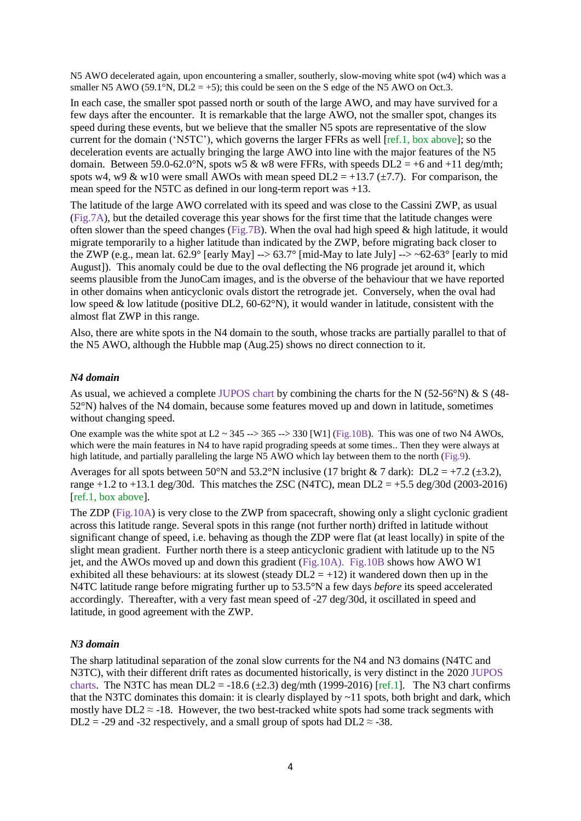N5 AWO decelerated again, upon encountering a smaller, southerly, slow-moving white spot (w4) which was a smaller N5 AWO (59.1°N,  $DL2 = +5$ ); this could be seen on the S edge of the N5 AWO on Oct.3.

In each case, the smaller spot passed north or south of the large AWO, and may have survived for a few days after the encounter. It is remarkable that the large AWO, not the smaller spot, changes its speed during these events, but we believe that the smaller N5 spots are representative of the slow current for the domain ('N5TC'), which governs the larger FFRs as well [ref.1, box above]; so the deceleration events are actually bringing the large AWO into line with the major features of the N5 domain. Between 59.0-62.0°N, spots w5 & w8 were FFRs, with speeds  $DL2 = +6$  and  $+11$  deg/mth; spots w4, w9 & w10 were small AWOs with mean speed  $DL2 = +13.7 (\pm 7.7)$ . For comparison, the mean speed for the N5TC as defined in our long-term report was +13.

The latitude of the large AWO correlated with its speed and was close to the Cassini ZWP, as usual (Fig.7A), but the detailed coverage this year shows for the first time that the latitude changes were often slower than the speed changes (Fig.7B). When the oval had high speed & high latitude, it would migrate temporarily to a higher latitude than indicated by the ZWP, before migrating back closer to the ZWP (e.g., mean lat. 62.9° [early May]  $\rightarrow$  -> 63.7° [mid-May to late July]  $\rightarrow$  -> ~62-63° [early to mid August]). This anomaly could be due to the oval deflecting the N6 prograde jet around it, which seems plausible from the JunoCam images, and is the obverse of the behaviour that we have reported in other domains when anticyclonic ovals distort the retrograde jet. Conversely, when the oval had low speed & low latitude (positive DL2,  $60-62^{\circ}$ N), it would wander in latitude, consistent with the almost flat ZWP in this range.

Also, there are white spots in the N4 domain to the south, whose tracks are partially parallel to that of the N5 AWO, although the Hubble map (Aug.25) shows no direct connection to it.

#### *N4 domain*

As usual, we achieved a complete JUPOS chart by combining the charts for the N (52-56°N) & S (48- 52°N) halves of the N4 domain, because some features moved up and down in latitude, sometimes without changing speed.

One example was the white spot at  $L2 \sim 345 \rightarrow 365 \rightarrow 330$  [W1] (Fig.10B). This was one of two N4 AWOs, which were the main features in N4 to have rapid prograding speeds at some times.. Then they were always at high latitude, and partially paralleling the large N5 AWO which lay between them to the north (Fig.9).

Averages for all spots between 50°N and 53.2°N inclusive (17 bright & 7 dark): DL2 = +7.2 ( $\pm$ 3.2), range +1.2 to +13.1 deg/30d. This matches the ZSC (N4TC), mean  $DL2 = +5.5$  deg/30d (2003-2016) [ref.1, box above].

The ZDP (Fig.10A) is very close to the ZWP from spacecraft, showing only a slight cyclonic gradient across this latitude range. Several spots in this range (not further north) drifted in latitude without significant change of speed, i.e. behaving as though the ZDP were flat (at least locally) in spite of the slight mean gradient. Further north there is a steep anticyclonic gradient with latitude up to the N5 jet, and the AWOs moved up and down this gradient (Fig.10A). Fig.10B shows how AWO W1 exhibited all these behaviours: at its slowest (steady  $DL2 = +12$ ) it wandered down then up in the N4TC latitude range before migrating further up to 53.5°N a few days *before* its speed accelerated accordingly. Thereafter, with a very fast mean speed of -27 deg/30d, it oscillated in speed and latitude, in good agreement with the ZWP.

#### *N3 domain*

The sharp latitudinal separation of the zonal slow currents for the N4 and N3 domains (N4TC and N3TC), with their different drift rates as documented historically, is very distinct in the 2020 JUPOS charts. The N3TC has mean  $DL2 = -18.6 \ (\pm 2.3)$  deg/mth (1999-2016) [ref.1]. The N3 chart confirms that the N3TC dominates this domain: it is clearly displayed by  $\sim$ 11 spots, both bright and dark, which mostly have  $DL2 \approx -18$ . However, the two best-tracked white spots had some track segments with DL2 = -29 and -32 respectively, and a small group of spots had DL2  $\approx$  -38.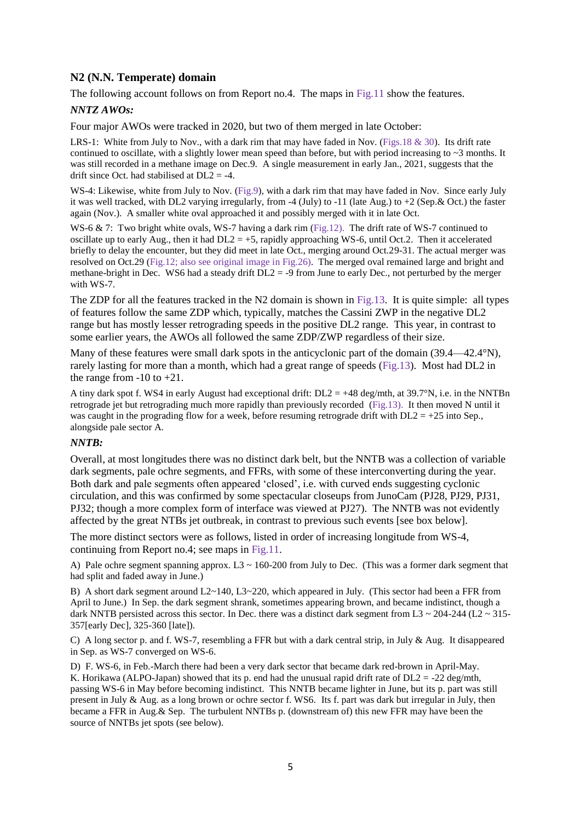# **N2 (N.N. Temperate) domain**

The following account follows on from Report no.4. The maps in Fig.11 show the features.

#### *NNTZ AWOs:*

Four major AWOs were tracked in 2020, but two of them merged in late October:

LRS-1: White from July to Nov., with a dark rim that may have faded in Nov. (Figs. 18 & 30). Its drift rate continued to oscillate, with a slightly lower mean speed than before, but with period increasing to  $\sim$ 3 months. It was still recorded in a methane image on Dec.9. A single measurement in early Jan., 2021, suggests that the drift since Oct. had stabilised at  $DL2 = -4$ .

WS-4: Likewise, white from July to Nov. (Fig.9), with a dark rim that may have faded in Nov. Since early July it was well tracked, with DL2 varying irregularly, from -4 (July) to -11 (late Aug.) to +2 (Sep.& Oct.) the faster again (Nov.). A smaller white oval approached it and possibly merged with it in late Oct.

WS-6 & 7: Two bright white ovals, WS-7 having a dark rim (Fig.12). The drift rate of WS-7 continued to oscillate up to early Aug., then it had  $DL2 = +5$ , rapidly approaching WS-6, until Oct.2. Then it accelerated briefly to delay the encounter, but they did meet in late Oct., merging around Oct.29-31. The actual merger was resolved on Oct.29 (Fig.12; also see original image in Fig.26). The merged oval remained large and bright and methane-bright in Dec. WS6 had a steady drift  $DL2 = -9$  from June to early Dec., not perturbed by the merger with WS-7.

The ZDP for all the features tracked in the N2 domain is shown in Fig.13. It is quite simple: all types of features follow the same ZDP which, typically, matches the Cassini ZWP in the negative DL2 range but has mostly lesser retrograding speeds in the positive DL2 range. This year, in contrast to some earlier years, the AWOs all followed the same ZDP/ZWP regardless of their size.

Many of these features were small dark spots in the anticyclonic part of the domain (39.4—42.4°N), rarely lasting for more than a month, which had a great range of speeds (Fig.13). Most had DL2 in the range from  $-10$  to  $+21$ .

A tiny dark spot f. WS4 in early August had exceptional drift:  $DL2 = +48$  deg/mth, at 39.7°N, i.e. in the NNTBn retrograde jet but retrograding much more rapidly than previously recorded (Fig.13). It then moved N until it was caught in the prograding flow for a week, before resuming retrograde drift with  $DL2 = +25$  into Sep. alongside pale sector A.

#### *NNTB:*

Overall, at most longitudes there was no distinct dark belt, but the NNTB was a collection of variable dark segments, pale ochre segments, and FFRs, with some of these interconverting during the year. Both dark and pale segments often appeared 'closed', i.e. with curved ends suggesting cyclonic circulation, and this was confirmed by some spectacular closeups from JunoCam (PJ28, PJ29, PJ31, PJ32; though a more complex form of interface was viewed at PJ27). The NNTB was not evidently affected by the great NTBs jet outbreak, in contrast to previous such events [see box below].

The more distinct sectors were as follows, listed in order of increasing longitude from WS-4, continuing from Report no.4; see maps in Fig.11.

A) Pale ochre segment spanning approx. L3  $\sim$  160-200 from July to Dec. (This was a former dark segment that had split and faded away in June.)

B) A short dark segment around L2~140, L3~220, which appeared in July. (This sector had been a FFR from April to June.) In Sep. the dark segment shrank, sometimes appearing brown, and became indistinct, though a dark NNTB persisted across this sector. In Dec. there was a distinct dark segment from L3 ~ 204-244 (L2 ~ 315-357[early Dec], 325-360 [late]).

C) A long sector p. and f. WS-7, resembling a FFR but with a dark central strip, in July & Aug. It disappeared in Sep. as WS-7 converged on WS-6.

D) F. WS-6, in Feb.-March there had been a very dark sector that became dark red-brown in April-May. K. Horikawa (ALPO-Japan) showed that its p. end had the unusual rapid drift rate of  $DL2 = -22$  deg/mth, passing WS-6 in May before becoming indistinct. This NNTB became lighter in June, but its p. part was still present in July & Aug. as a long brown or ochre sector f. WS6. Its f. part was dark but irregular in July, then became a FFR in Aug.& Sep. The turbulent NNTBs p. (downstream of) this new FFR may have been the source of NNTBs jet spots (see below).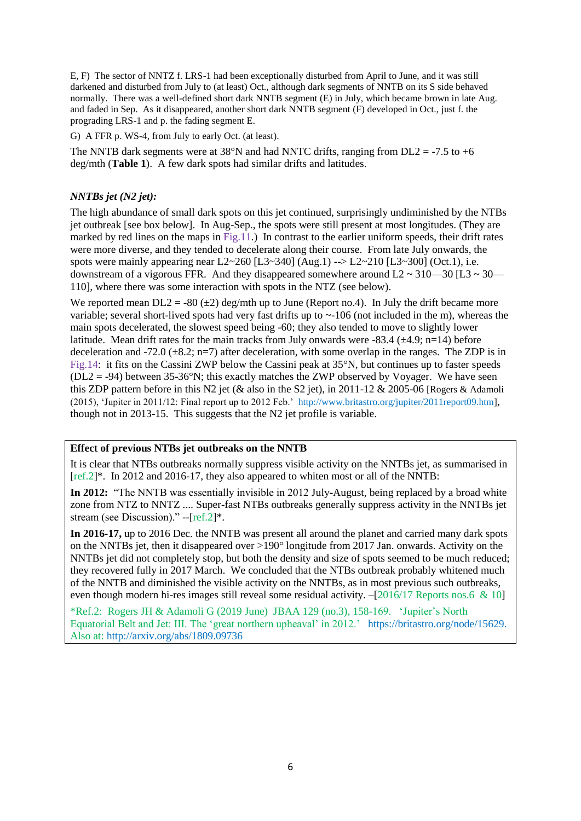E, F) The sector of NNTZ f. LRS-1 had been exceptionally disturbed from April to June, and it was still darkened and disturbed from July to (at least) Oct., although dark segments of NNTB on its S side behaved normally. There was a well-defined short dark NNTB segment (E) in July, which became brown in late Aug. and faded in Sep. As it disappeared, another short dark NNTB segment (F) developed in Oct., just f. the prograding LRS-1 and p. the fading segment E.

G) A FFR p. WS-4, from July to early Oct. (at least).

The NNTB dark segments were at  $38^{\circ}$ N and had NNTC drifts, ranging from DL2 = -7.5 to +6 deg/mth (**Table 1**). A few dark spots had similar drifts and latitudes.

### *NNTBs jet (N2 jet):*

The high abundance of small dark spots on this jet continued, surprisingly undiminished by the NTBs jet outbreak [see box below]. In Aug-Sep., the spots were still present at most longitudes. (They are marked by red lines on the maps in  $\text{Fig.11.}}$ ) In contrast to the earlier uniform speeds, their drift rates were more diverse, and they tended to decelerate along their course. From late July onwards, the spots were mainly appearing near  $L2 \sim 260$  [L3~340] (Aug.1) --> L2~210 [L3~300] (Oct.1), i.e. downstream of a vigorous FFR. And they disappeared somewhere around  $L2 \approx 310-30$  [L3  $\approx 30-$ 110], where there was some interaction with spots in the NTZ (see below).

We reported mean  $DL2 = -80 \left( \pm 2 \right)$  deg/mth up to June (Report no.4). In July the drift became more variable; several short-lived spots had very fast drifts up to  $\sim$ -106 (not included in the m), whereas the main spots decelerated, the slowest speed being -60; they also tended to move to slightly lower latitude. Mean drift rates for the main tracks from July onwards were -83.4 ( $\pm$ 4.9; n=14) before deceleration and -72.0 ( $\pm$ 8.2; n=7) after deceleration, with some overlap in the ranges. The ZDP is in Fig.14: it fits on the Cassini ZWP below the Cassini peak at 35°N, but continues up to faster speeds  $(DL2 = -94)$  between 35-36°N; this exactly matches the ZWP observed by Voyager. We have seen this ZDP pattern before in this N2 jet (& also in the S2 jet), in 2011-12 & 2005-06 [Rogers & Adamoli (2015), 'Jupiter in 2011/12: Final report up to 2012 Feb.' http://www.britastro.org/jupiter/2011report09.htm], though not in 2013-15. This suggests that the N2 jet profile is variable.

## **Effect of previous NTBs jet outbreaks on the NNTB**

It is clear that NTBs outbreaks normally suppress visible activity on the NNTBs jet, as summarised in  $[ref.2]*$ . In 2012 and 2016-17, they also appeared to whiten most or all of the NNTB:

**In 2012:** "The NNTB was essentially invisible in 2012 July-August, being replaced by a broad white zone from NTZ to NNTZ .... Super-fast NTBs outbreaks generally suppress activity in the NNTBs jet stream (see Discussion)." --[ref.2]\*.

**In 2016-17,** up to 2016 Dec. the NNTB was present all around the planet and carried many dark spots on the NNTBs jet, then it disappeared over >190° longitude from 2017 Jan. onwards. Activity on the NNTBs jet did not completely stop, but both the density and size of spots seemed to be much reduced; they recovered fully in 2017 March. We concluded that the NTBs outbreak probably whitened much of the NNTB and diminished the visible activity on the NNTBs, as in most previous such outbreaks, even though modern hi-res images still reveal some residual activity.  $-[2016/17$  Reports nos.6 & 10]

\*Ref.2: Rogers JH & Adamoli G (2019 June) JBAA 129 (no.3), 158-169. 'Jupiter's North Equatorial Belt and Jet: III. The 'great northern upheaval' in 2012.' https://britastro.org/node/15629. Also at: http://arxiv.org/abs/1809.09736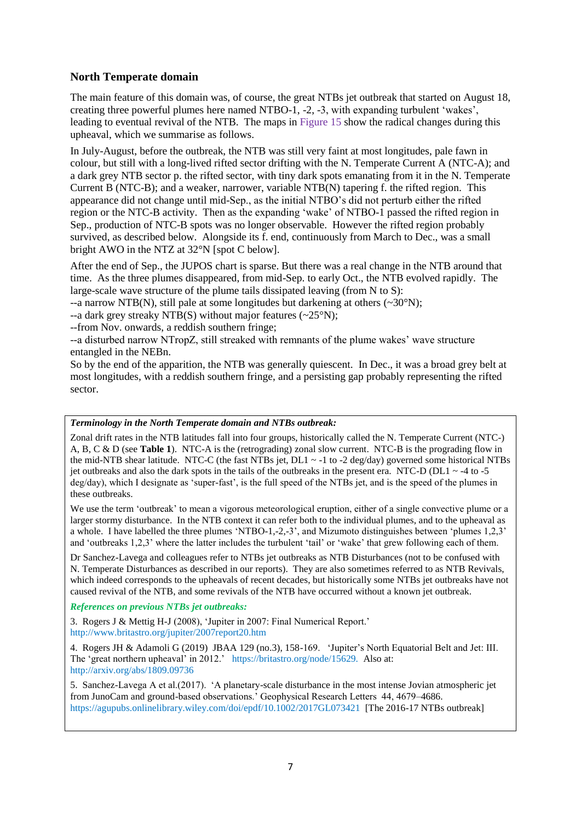# **North Temperate domain**

The main feature of this domain was, of course, the great NTBs jet outbreak that started on August 18, creating three powerful plumes here named NTBO-1, -2, -3, with expanding turbulent 'wakes', leading to eventual revival of the NTB. The maps in Figure 15 show the radical changes during this upheaval, which we summarise as follows.

In July-August, before the outbreak, the NTB was still very faint at most longitudes, pale fawn in colour, but still with a long-lived rifted sector drifting with the N. Temperate Current A (NTC-A); and a dark grey NTB sector p. the rifted sector, with tiny dark spots emanating from it in the N. Temperate Current B (NTC-B); and a weaker, narrower, variable NTB(N) tapering f. the rifted region. This appearance did not change until mid-Sep., as the initial NTBO's did not perturb either the rifted region or the NTC-B activity. Then as the expanding 'wake' of NTBO-1 passed the rifted region in Sep., production of NTC-B spots was no longer observable. However the rifted region probably survived, as described below. Alongside its f. end, continuously from March to Dec., was a small bright AWO in the NTZ at 32°N [spot C below].

After the end of Sep., the JUPOS chart is sparse. But there was a real change in the NTB around that time. As the three plumes disappeared, from mid-Sep. to early Oct., the NTB evolved rapidly. The large-scale wave structure of the plume tails dissipated leaving (from N to S):

--a narrow NTB(N), still pale at some longitudes but darkening at others  $(\sim 30^{\circ} N)$ ;

--a dark grey streaky NTB(S) without major features  $(-25^{\circ}N)$ ;

--from Nov. onwards, a reddish southern fringe;

--a disturbed narrow NTropZ, still streaked with remnants of the plume wakes' wave structure entangled in the NEBn.

So by the end of the apparition, the NTB was generally quiescent. In Dec., it was a broad grey belt at most longitudes, with a reddish southern fringe, and a persisting gap probably representing the rifted sector.

#### *Terminology in the North Temperate domain and NTBs outbreak:*

Zonal drift rates in the NTB latitudes fall into four groups, historically called the N. Temperate Current (NTC-) A, B, C & D (see **Table 1**). NTC-A is the (retrograding) zonal slow current. NTC-B is the prograding flow in the mid-NTB shear latitude. NTC-C (the fast NTBs jet,  $DL1 \sim -1$  to -2 deg/day) governed some historical NTBs jet outbreaks and also the dark spots in the tails of the outbreaks in the present era. NTC-D (DL1  $\sim$  -4 to -5 deg/day), which I designate as 'super-fast', is the full speed of the NTBs jet, and is the speed of the plumes in these outbreaks.

We use the term 'outbreak' to mean a vigorous meteorological eruption, either of a single convective plume or a larger stormy disturbance. In the NTB context it can refer both to the individual plumes, and to the upheaval as a whole. I have labelled the three plumes 'NTBO-1,-2,-3', and Mizumoto distinguishes between 'plumes 1,2,3' and 'outbreaks 1,2,3' where the latter includes the turbulent 'tail' or 'wake' that grew following each of them.

Dr Sanchez-Lavega and colleagues refer to NTBs jet outbreaks as NTB Disturbances (not to be confused with N. Temperate Disturbances as described in our reports). They are also sometimes referred to as NTB Revivals, which indeed corresponds to the upheavals of recent decades, but historically some NTBs jet outbreaks have not caused revival of the NTB, and some revivals of the NTB have occurred without a known jet outbreak.

#### *References on previous NTBs jet outbreaks:*

3. Rogers J & Mettig H-J (2008), 'Jupiter in 2007: Final Numerical Report.' http://www.britastro.org/jupiter/2007report20.htm

4. Rogers JH & Adamoli G (2019) JBAA 129 (no.3), 158-169. 'Jupiter's North Equatorial Belt and Jet: III. The 'great northern upheaval' in 2012.' https://britastro.org/node/15629. Also at: http://arxiv.org/abs/1809.09736

5. Sanchez-Lavega A et al.(2017). 'A planetary-scale disturbance in the most intense Jovian atmospheric jet from JunoCam and ground-based observations.' Geophysical Research Letters 44, 4679–4686. https://agupubs.onlinelibrary.wiley.com/doi/epdf/10.1002/2017GL073421 [The 2016-17 NTBs outbreak]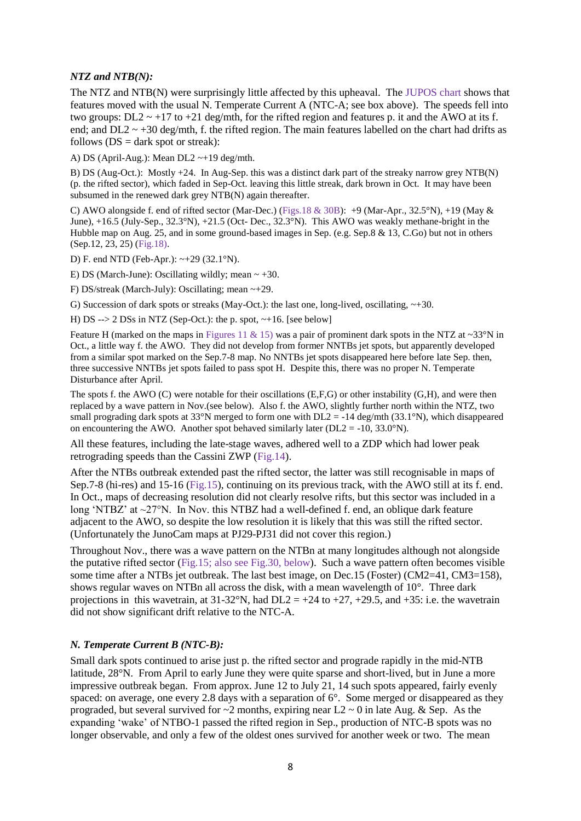#### *NTZ and NTB(N):*

The NTZ and NTB(N) were surprisingly little affected by this upheaval. The JUPOS chart shows that features moved with the usual N. Temperate Current A (NTC-A; see box above). The speeds fell into two groups:  $DL2 \sim +17$  to  $+21$  deg/mth, for the rifted region and features p. it and the AWO at its f. end; and  $DL2 \sim +30$  deg/mth, f. the rifted region. The main features labelled on the chart had drifts as follows  $(DS = dark spot or stream)$ :

A) DS (April-Aug.): Mean DL2 ~+19 deg/mth.

B) DS (Aug-Oct.): Mostly +24. In Aug-Sep. this was a distinct dark part of the streaky narrow grey NTB(N) (p. the rifted sector), which faded in Sep-Oct. leaving this little streak, dark brown in Oct. It may have been subsumed in the renewed dark grey NTB(N) again thereafter.

C) AWO alongside f. end of rifted sector (Mar-Dec.) (Figs.18 & 30B): +9 (Mar-Apr., 32.5°N), +19 (May  $\&$ June), +16.5 (July-Sep., 32.3°N), +21.5 (Oct- Dec., 32.3°N). This AWO was weakly methane-bright in the Hubble map on Aug. 25, and in some ground-based images in Sep. (e.g. Sep.8 & 13, C.Go) but not in others (Sep.12, 23, 25) (Fig.18).

D) F. end NTD (Feb-Apr.): ~+29 (32.1°N).

E) DS (March-June): Oscillating wildly; mean  $\sim +30$ .

F) DS/streak (March-July): Oscillating; mean ~+29.

G) Succession of dark spots or streaks (May-Oct.): the last one, long-lived, oscillating,  $\sim +30$ .

H) DS  $\rightarrow$  2 DSs in NTZ (Sep-Oct.): the p. spot,  $\sim$ +16. [see below]

Feature H (marked on the maps in Figures 11 & 15) was a pair of prominent dark spots in the NTZ at ~33°N in Oct., a little way f. the AWO. They did not develop from former NNTBs jet spots, but apparently developed from a similar spot marked on the Sep.7-8 map. No NNTBs jet spots disappeared here before late Sep. then, three successive NNTBs jet spots failed to pass spot H. Despite this, there was no proper N. Temperate Disturbance after April.

The spots f. the AWO (C) were notable for their oscillations  $(E, F, G)$  or other instability  $(G, H)$ , and were then replaced by a wave pattern in Nov.(see below). Also f. the AWO, slightly further north within the NTZ, two small prograding dark spots at 33°N merged to form one with  $DL2 = -14$  deg/mth (33.1°N), which disappeared on encountering the AWO. Another spot behaved similarly later ( $DL2 = -10$ , 33.0°N).

All these features, including the late-stage waves, adhered well to a ZDP which had lower peak retrograding speeds than the Cassini ZWP (Fig.14).

After the NTBs outbreak extended past the rifted sector, the latter was still recognisable in maps of Sep.7-8 (hi-res) and 15-16 (Fig.15), continuing on its previous track, with the AWO still at its f. end. In Oct., maps of decreasing resolution did not clearly resolve rifts, but this sector was included in a long 'NTBZ' at ~27°N. In Nov. this NTBZ had a well-defined f. end, an oblique dark feature adjacent to the AWO, so despite the low resolution it is likely that this was still the rifted sector. (Unfortunately the JunoCam maps at PJ29-PJ31 did not cover this region.)

Throughout Nov., there was a wave pattern on the NTBn at many longitudes although not alongside the putative rifted sector (Fig.15; also see Fig.30, below). Such a wave pattern often becomes visible some time after a NTBs jet outbreak. The last best image, on Dec.15 (Foster) (CM2=41, CM3=158), shows regular waves on NTBn all across the disk, with a mean wavelength of 10°. Three dark projections in this wavetrain, at  $31-32^\circ N$ , had  $DL2 = +24$  to  $+27, +29.5$ , and  $+35$ : i.e. the wavetrain did not show significant drift relative to the NTC-A.

#### *N. Temperate Current B (NTC-B):*

Small dark spots continued to arise just p. the rifted sector and prograde rapidly in the mid-NTB latitude, 28°N. From April to early June they were quite sparse and short-lived, but in June a more impressive outbreak began. From approx. June 12 to July 21, 14 such spots appeared, fairly evenly spaced: on average, one every 2.8 days with a separation of 6°. Some merged or disappeared as they prograded, but several survived for  $\sim$ 2 months, expiring near L2  $\sim$  0 in late Aug. & Sep. As the expanding 'wake' of NTBO-1 passed the rifted region in Sep., production of NTC-B spots was no longer observable, and only a few of the oldest ones survived for another week or two. The mean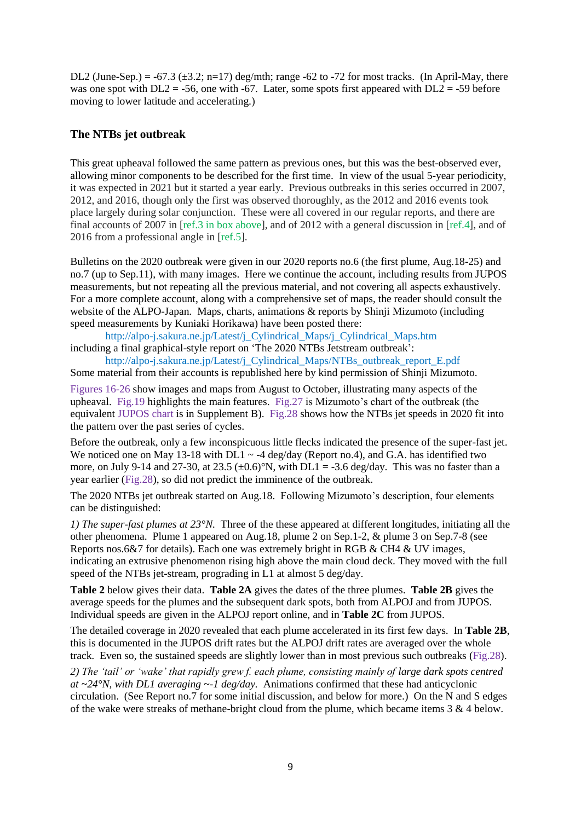DL2 (June-Sep.) =  $-67.3$  ( $\pm 3.2$ ; n=17) deg/mth; range  $-62$  to  $-72$  for most tracks. (In April-May, there was one spot with  $DL2 = -56$ , one with -67. Later, some spots first appeared with  $DL2 = -59$  before moving to lower latitude and accelerating.)

#### **The NTBs jet outbreak**

This great upheaval followed the same pattern as previous ones, but this was the best-observed ever, allowing minor components to be described for the first time. In view of the usual 5-year periodicity, it was expected in 2021 but it started a year early. Previous outbreaks in this series occurred in 2007, 2012, and 2016, though only the first was observed thoroughly, as the 2012 and 2016 events took place largely during solar conjunction. These were all covered in our regular reports, and there are final accounts of 2007 in [ref.3 in box above], and of 2012 with a general discussion in [ref.4], and of 2016 from a professional angle in [ref.5].

Bulletins on the 2020 outbreak were given in our 2020 reports no.6 (the first plume, Aug.18-25) and no.7 (up to Sep.11), with many images. Here we continue the account, including results from JUPOS measurements, but not repeating all the previous material, and not covering all aspects exhaustively. For a more complete account, along with a comprehensive set of maps, the reader should consult the website of the ALPO-Japan. Maps, charts, animations & reports by Shinji Mizumoto (including speed measurements by Kuniaki Horikawa) have been posted there:

http://alpo-j.sakura.ne.jp/Latest/j\_Cylindrical\_Maps/j\_Cylindrical\_Maps.htm including a final graphical-style report on 'The 2020 NTBs Jetstream outbreak':

http://alpo-j.sakura.ne.jp/Latest/j\_Cylindrical\_Maps/NTBs\_outbreak\_report\_E.pdf Some material from their accounts is republished here by kind permission of Shinji Mizumoto.

Figures 16-26 show images and maps from August to October, illustrating many aspects of the upheaval. Fig.19 highlights the main features. Fig.27 is Mizumoto's chart of the outbreak (the equivalent JUPOS chart is in Supplement B). Fig.28 shows how the NTBs jet speeds in 2020 fit into the pattern over the past series of cycles.

Before the outbreak, only a few inconspicuous little flecks indicated the presence of the super-fast jet. We noticed one on May 13-18 with  $DL1 \sim -4 \text{ deg/day}$  (Report no.4), and G.A. has identified two more, on July 9-14 and 27-30, at 23.5  $(\pm 0.6)$ °N, with DL1 = -3.6 deg/day. This was no faster than a year earlier (Fig.28), so did not predict the imminence of the outbreak.

The 2020 NTBs jet outbreak started on Aug.18. Following Mizumoto's description, four elements can be distinguished:

*1) The super-fast plumes at 23°N.* Three of the these appeared at different longitudes, initiating all the other phenomena. Plume 1 appeared on Aug.18, plume 2 on Sep.1-2, & plume 3 on Sep.7-8 (see Reports nos.6&7 for details). Each one was extremely bright in RGB & CH4 & UV images, indicating an extrusive phenomenon rising high above the main cloud deck. They moved with the full speed of the NTBs jet-stream, prograding in L1 at almost 5 deg/day.

**Table 2** below gives their data. **Table 2A** gives the dates of the three plumes. **Table 2B** gives the average speeds for the plumes and the subsequent dark spots, both from ALPOJ and from JUPOS. Individual speeds are given in the ALPOJ report online, and in **Table 2C** from JUPOS.

The detailed coverage in 2020 revealed that each plume accelerated in its first few days. In **Table 2B**, this is documented in the JUPOS drift rates but the ALPOJ drift rates are averaged over the whole track. Even so, the sustained speeds are slightly lower than in most previous such outbreaks (Fig.28).

*2) The 'tail' or 'wake' that rapidly grew f. each plume, consisting mainly of large dark spots centred at ~24°N, with DL1 averaging ~-1 deg/day.* Animations confirmed that these had anticyclonic circulation. (See Report no.7 for some initial discussion, and below for more.) On the N and S edges of the wake were streaks of methane-bright cloud from the plume, which became items  $3 \& 4$  below.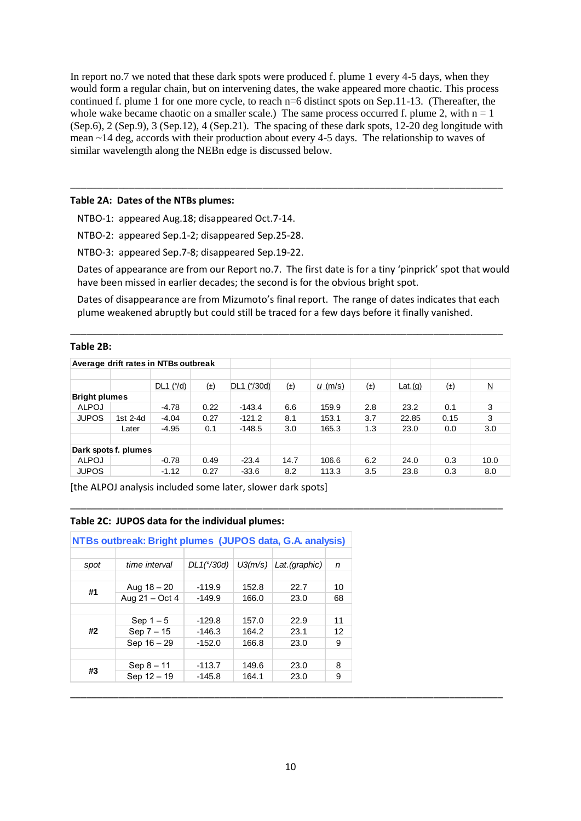In report no.7 we noted that these dark spots were produced f. plume 1 every 4-5 days, when they would form a regular chain, but on intervening dates, the wake appeared more chaotic. This process continued f. plume 1 for one more cycle, to reach n=6 distinct spots on Sep.11-13. (Thereafter, the whole wake became chaotic on a smaller scale.) The same process occurred f. plume 2, with  $n = 1$ (Sep.6), 2 (Sep.9), 3 (Sep.12), 4 (Sep.21). The spacing of these dark spots, 12-20 deg longitude with mean ~14 deg, accords with their production about every 4-5 days. The relationship to waves of similar wavelength along the NEBn edge is discussed below.

\_\_\_\_\_\_\_\_\_\_\_\_\_\_\_\_\_\_\_\_\_\_\_\_\_\_\_\_\_\_\_\_\_\_\_\_\_\_\_\_\_\_\_\_\_\_\_\_\_\_\_\_\_\_\_\_\_\_\_\_\_\_\_\_\_\_\_\_\_\_\_\_\_\_\_\_\_\_\_\_\_

#### **Table 2A: Dates of the NTBs plumes:**

NTBO-1: appeared Aug.18; disappeared Oct.7-14.

NTBO-2: appeared Sep.1-2; disappeared Sep.25-28.

NTBO-3: appeared Sep.7-8; disappeared Sep.19-22.

Dates of appearance are from our Report no.7. The first date is for a tiny 'pinprick' spot that would have been missed in earlier decades; the second is for the obvious bright spot.

Dates of disappearance are from Mizumoto's final report. The range of dates indicates that each plume weakened abruptly but could still be traced for a few days before it finally vanished.

\_\_\_\_\_\_\_\_\_\_\_\_\_\_\_\_\_\_\_\_\_\_\_\_\_\_\_\_\_\_\_\_\_\_\_\_\_\_\_\_\_\_\_\_\_\_\_\_\_\_\_\_\_\_\_\_\_\_\_\_\_\_\_\_\_\_\_\_\_\_\_\_\_\_\_\_\_\_\_\_\_

#### **Table 2B:**

|                      |          | Average drift rates in NTBs outbreak |         |             |         |           |         |         |         |                     |
|----------------------|----------|--------------------------------------|---------|-------------|---------|-----------|---------|---------|---------|---------------------|
|                      |          | $DL1$ ( $\degree$ /d)                | $(\pm)$ | DL1 (°/30d) | $(\pm)$ | $u (m/s)$ | $(\pm)$ | Lat.(q) | $(\pm)$ | $\underline{\sf N}$ |
| <b>Bright plumes</b> |          |                                      |         |             |         |           |         |         |         |                     |
| <b>ALPOJ</b>         |          | $-4.78$                              | 0.22    | $-143.4$    | 6.6     | 159.9     | 2.8     | 23.2    | 0.1     | 3                   |
| <b>JUPOS</b>         | 1st 2-4d | $-4.04$                              | 0.27    | $-121.2$    | 8.1     | 153.1     | 3.7     | 22.85   | 0.15    | 3                   |
|                      | Later    | $-4.95$                              | 0.1     | $-148.5$    | 3.0     | 165.3     | 1.3     | 23.0    | 0.0     | 3.0                 |
| Dark spots f. plumes |          |                                      |         |             |         |           |         |         |         |                     |
| <b>ALPOJ</b>         |          | $-0.78$                              | 0.49    | $-23.4$     | 14.7    | 106.6     | 6.2     | 24.0    | 0.3     | 10.0                |
| <b>JUPOS</b>         |          | $-1.12$                              | 0.27    | $-33.6$     | 8.2     | 113.3     | 3.5     | 23.8    | 0.3     | 8.0                 |

\_\_\_\_\_\_\_\_\_\_\_\_\_\_\_\_\_\_\_\_\_\_\_\_\_\_\_\_\_\_\_\_\_\_\_\_\_\_\_\_\_\_\_\_\_\_\_\_\_\_\_\_\_\_\_\_\_\_\_\_\_\_\_\_\_\_\_\_\_\_\_\_\_\_\_\_\_\_\_\_\_

[the ALPOJ analysis included some later, slower dark spots]

#### **Table 2C: JUPOS data for the individual plumes:**

| NTBs outbreak: Bright plumes (JUPOS data, G.A. analysis) |                |                     |         |                |    |  |  |  |
|----------------------------------------------------------|----------------|---------------------|---------|----------------|----|--|--|--|
|                                                          |                |                     |         |                |    |  |  |  |
| spot                                                     | time interval  | $DL1(^{\circ}/30d)$ | U3(m/s) | Lat. (graphic) | n  |  |  |  |
|                                                          |                |                     |         |                |    |  |  |  |
| #1                                                       | Aug $18 - 20$  | $-119.9$            | 152.8   | 22.7           | 10 |  |  |  |
|                                                          | Aug 21 - Oct 4 | $-149.9$            | 166.0   | 23.0           | 68 |  |  |  |
|                                                          |                |                     |         |                |    |  |  |  |
|                                                          | Sep $1-5$      | $-129.8$            | 157.0   | 22.9           | 11 |  |  |  |
| #2                                                       | Sep 7 - 15     | $-146.3$            | 164.2   | 23.1           | 12 |  |  |  |
|                                                          | Sep 16 - 29    | $-152.0$            | 166.8   | 23.0           | 9  |  |  |  |
|                                                          |                |                     |         |                |    |  |  |  |
| #3                                                       | $Sep 8 - 11$   | $-113.7$            | 149.6   | 23.0           | 8  |  |  |  |
|                                                          | Sep 12 - 19    | $-145.8$            | 164.1   | 23.0           | 9  |  |  |  |
|                                                          |                |                     |         |                |    |  |  |  |

\_\_\_\_\_\_\_\_\_\_\_\_\_\_\_\_\_\_\_\_\_\_\_\_\_\_\_\_\_\_\_\_\_\_\_\_\_\_\_\_\_\_\_\_\_\_\_\_\_\_\_\_\_\_\_\_\_\_\_\_\_\_\_\_\_\_\_\_\_\_\_\_\_\_\_\_\_\_\_\_\_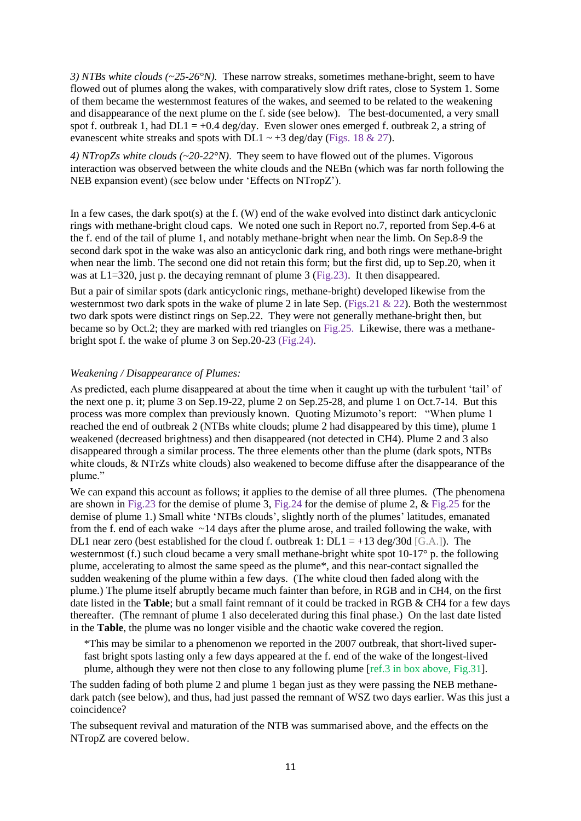*3) NTBs white clouds (~25-26°N).* These narrow streaks, sometimes methane-bright, seem to have flowed out of plumes along the wakes, with comparatively slow drift rates, close to System 1. Some of them became the westernmost features of the wakes, and seemed to be related to the weakening and disappearance of the next plume on the f. side (see below). The best-documented, a very small spot f. outbreak 1, had  $DL1 = +0.4$  deg/day. Even slower ones emerged f. outbreak 2, a string of evanescent white streaks and spots with DL1  $\sim$  +3 deg/day (Figs. 18 & 27).

*4) NTropZs white clouds (~20-22°N)*. They seem to have flowed out of the plumes. Vigorous interaction was observed between the white clouds and the NEBn (which was far north following the NEB expansion event) (see below under 'Effects on NTropZ').

In a few cases, the dark spot(s) at the f. (W) end of the wake evolved into distinct dark anticyclonic rings with methane-bright cloud caps. We noted one such in Report no.7, reported from Sep.4-6 at the f. end of the tail of plume 1, and notably methane-bright when near the limb. On Sep.8-9 the second dark spot in the wake was also an anticyclonic dark ring, and both rings were methane-bright when near the limb. The second one did not retain this form; but the first did, up to Sep.20, when it was at  $L1=320$ , just p. the decaying remnant of plume 3 (Fig.23). It then disappeared.

But a pair of similar spots (dark anticyclonic rings, methane-bright) developed likewise from the westernmost two dark spots in the wake of plume 2 in late Sep. (Figs. 21 & 22). Both the westernmost two dark spots were distinct rings on Sep.22. They were not generally methane-bright then, but became so by Oct.2; they are marked with red triangles on Fig.25. Likewise, there was a methanebright spot f. the wake of plume 3 on Sep.20-23 (Fig.24).

#### *Weakening / Disappearance of Plumes:*

As predicted, each plume disappeared at about the time when it caught up with the turbulent 'tail' of the next one p. it; plume 3 on Sep.19-22, plume 2 on Sep.25-28, and plume 1 on Oct.7-14. But this process was more complex than previously known. Quoting Mizumoto's report: "When plume 1 reached the end of outbreak 2 (NTBs white clouds; plume 2 had disappeared by this time), plume 1 weakened (decreased brightness) and then disappeared (not detected in CH4). Plume 2 and 3 also disappeared through a similar process. The three elements other than the plume (dark spots, NTBs white clouds, & NTrZs white clouds) also weakened to become diffuse after the disappearance of the plume."

We can expand this account as follows; it applies to the demise of all three plumes. (The phenomena are shown in Fig.23 for the demise of plume 3, Fig.24 for the demise of plume 2, & Fig.25 for the demise of plume 1.) Small white 'NTBs clouds', slightly north of the plumes' latitudes, emanated from the f. end of each wake ~14 days after the plume arose, and trailed following the wake, with DL1 near zero (best established for the cloud f. outbreak 1:  $DL1 = +13 \text{ deg}/30 \text{ d } [\text{G.A.}]$ ). The westernmost (f.) such cloud became a very small methane-bright white spot 10-17° p. the following plume, accelerating to almost the same speed as the plume\*, and this near-contact signalled the sudden weakening of the plume within a few days. (The white cloud then faded along with the plume.) The plume itself abruptly became much fainter than before, in RGB and in CH4, on the first date listed in the **Table**; but a small faint remnant of it could be tracked in RGB & CH4 for a few days thereafter. (The remnant of plume 1 also decelerated during this final phase.) On the last date listed in the **Table**, the plume was no longer visible and the chaotic wake covered the region.

\*This may be similar to a phenomenon we reported in the 2007 outbreak, that short-lived superfast bright spots lasting only a few days appeared at the f. end of the wake of the longest-lived plume, although they were not then close to any following plume [ref.3 in box above, Fig.31].

The sudden fading of both plume 2 and plume 1 began just as they were passing the NEB methanedark patch (see below), and thus, had just passed the remnant of WSZ two days earlier. Was this just a coincidence?

The subsequent revival and maturation of the NTB was summarised above, and the effects on the NTropZ are covered below.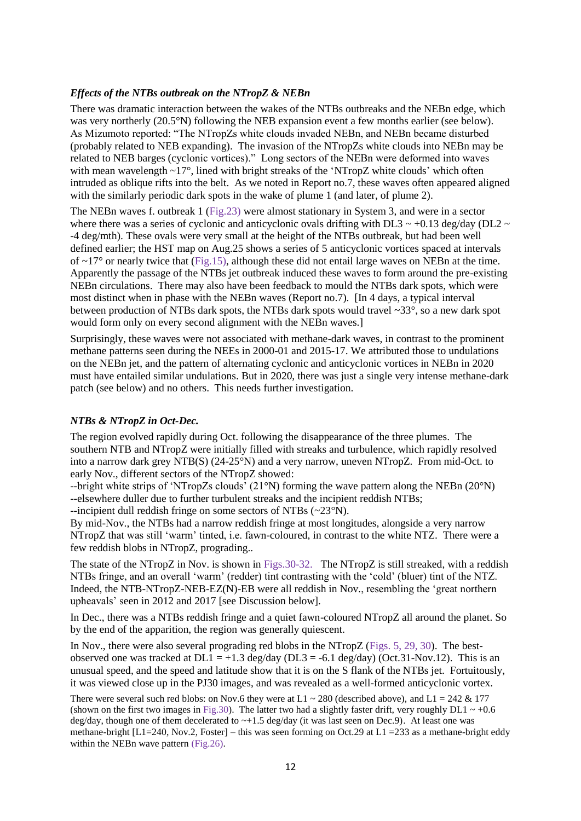#### *Effects of the NTBs outbreak on the NTropZ & NEBn*

There was dramatic interaction between the wakes of the NTBs outbreaks and the NEBn edge, which was very northerly (20.5°N) following the NEB expansion event a few months earlier (see below). As Mizumoto reported: "The NTropZs white clouds invaded NEBn, and NEBn became disturbed (probably related to NEB expanding). The invasion of the NTropZs white clouds into NEBn may be related to NEB barges (cyclonic vortices)." Long sectors of the NEBn were deformed into waves with mean wavelength ~17°, lined with bright streaks of the 'NTropZ white clouds' which often intruded as oblique rifts into the belt. As we noted in Report no.7, these waves often appeared aligned with the similarly periodic dark spots in the wake of plume 1 (and later, of plume 2).

The NEBn waves f. outbreak 1 (Fig.23) were almost stationary in System 3, and were in a sector where there was a series of cyclonic and anticyclonic ovals drifting with DL3  $\sim$  +0.13 deg/day (DL2  $\sim$ -4 deg/mth). These ovals were very small at the height of the NTBs outbreak, but had been well defined earlier; the HST map on Aug.25 shows a series of 5 anticyclonic vortices spaced at intervals of  $\sim$ 17° or nearly twice that (Fig.15), although these did not entail large waves on NEBn at the time. Apparently the passage of the NTBs jet outbreak induced these waves to form around the pre-existing NEBn circulations. There may also have been feedback to mould the NTBs dark spots, which were most distinct when in phase with the NEBn waves (Report no.7). [In 4 days, a typical interval between production of NTBs dark spots, the NTBs dark spots would travel ~33°, so a new dark spot would form only on every second alignment with the NEBn waves.]

Surprisingly, these waves were not associated with methane-dark waves, in contrast to the prominent methane patterns seen during the NEEs in 2000-01 and 2015-17. We attributed those to undulations on the NEBn jet, and the pattern of alternating cyclonic and anticyclonic vortices in NEBn in 2020 must have entailed similar undulations. But in 2020, there was just a single very intense methane-dark patch (see below) and no others. This needs further investigation.

#### *NTBs & NTropZ in Oct-Dec.*

The region evolved rapidly during Oct. following the disappearance of the three plumes. The southern NTB and NTropZ were initially filled with streaks and turbulence, which rapidly resolved into a narrow dark grey NTB(S) (24-25°N) and a very narrow, uneven NTropZ. From mid-Oct. to early Nov., different sectors of the NTropZ showed:

--bright white strips of 'NTropZs clouds' (21°N) forming the wave pattern along the NEBn (20°N) --elsewhere duller due to further turbulent streaks and the incipient reddish NTBs;

--incipient dull reddish fringe on some sectors of NTBs (~23°N).

By mid-Nov., the NTBs had a narrow reddish fringe at most longitudes, alongside a very narrow NTropZ that was still 'warm' tinted, i.e. fawn-coloured, in contrast to the white NTZ. There were a few reddish blobs in NTropZ, prograding..

The state of the NTropZ in Nov. is shown in Figs.30-32. The NTropZ is still streaked, with a reddish NTBs fringe, and an overall 'warm' (redder) tint contrasting with the 'cold' (bluer) tint of the NTZ. Indeed, the NTB-NTropZ-NEB-EZ(N)-EB were all reddish in Nov., resembling the 'great northern upheavals' seen in 2012 and 2017 [see Discussion below].

In Dec., there was a NTBs reddish fringe and a quiet fawn-coloured NTropZ all around the planet. So by the end of the apparition, the region was generally quiescent.

In Nov., there were also several prograding red blobs in the NTropZ (Figs. 5, 29, 30). The bestobserved one was tracked at  $DL1 = +1.3 \text{ deg/day}$  ( $DL3 = -6.1 \text{ deg/day}$ ) ( $Oct.31$ -Nov.12). This is an unusual speed, and the speed and latitude show that it is on the S flank of the NTBs jet. Fortuitously, it was viewed close up in the PJ30 images, and was revealed as a well-formed anticyclonic vortex.

There were several such red blobs: on Nov.6 they were at  $L1 \approx 280$  (described above), and  $L1 = 242 \& 177$ (shown on the first two images in Fig.30). The latter two had a slightly faster drift, very roughly DL1  $\sim$  +0.6 deg/day, though one of them decelerated to  $\sim+1.5$  deg/day (it was last seen on Dec.9). At least one was methane-bright  $[L1=240, Nov.2, Foster]$  – this was seen forming on Oct.29 at  $L1 = 233$  as a methane-bright eddy within the NEBn wave pattern (Fig.26).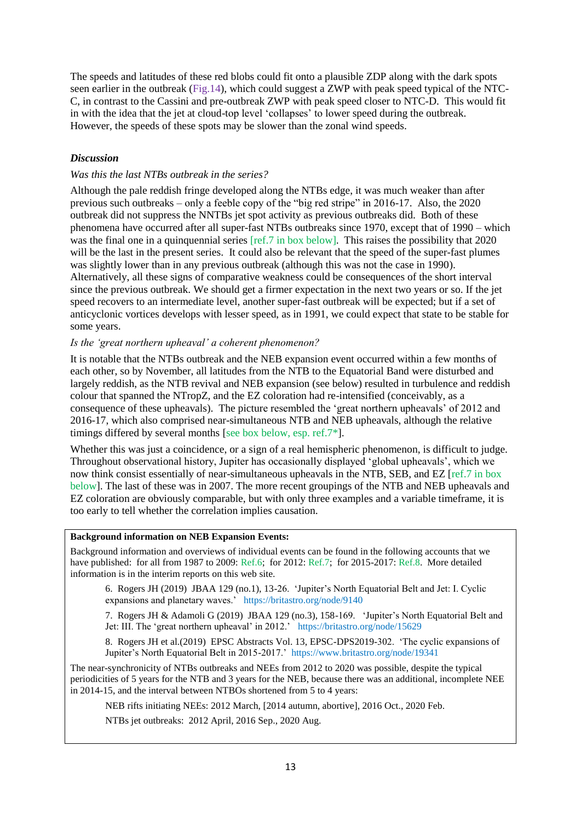The speeds and latitudes of these red blobs could fit onto a plausible ZDP along with the dark spots seen earlier in the outbreak (Fig.14), which could suggest a ZWP with peak speed typical of the NTC-C, in contrast to the Cassini and pre-outbreak ZWP with peak speed closer to NTC-D. This would fit in with the idea that the jet at cloud-top level 'collapses' to lower speed during the outbreak. However, the speeds of these spots may be slower than the zonal wind speeds.

### *Discussion*

#### *Was this the last NTBs outbreak in the series?*

Although the pale reddish fringe developed along the NTBs edge, it was much weaker than after previous such outbreaks – only a feeble copy of the "big red stripe" in 2016-17. Also, the 2020 outbreak did not suppress the NNTBs jet spot activity as previous outbreaks did. Both of these phenomena have occurred after all super-fast NTBs outbreaks since 1970, except that of 1990 – which was the final one in a quinquennial series [ref.7 in box below]. This raises the possibility that 2020 will be the last in the present series. It could also be relevant that the speed of the super-fast plumes was slightly lower than in any previous outbreak (although this was not the case in 1990). Alternatively, all these signs of comparative weakness could be consequences of the short interval since the previous outbreak. We should get a firmer expectation in the next two years or so. If the jet speed recovers to an intermediate level, another super-fast outbreak will be expected; but if a set of anticyclonic vortices develops with lesser speed, as in 1991, we could expect that state to be stable for some years.

#### *Is the 'great northern upheaval' a coherent phenomenon?*

It is notable that the NTBs outbreak and the NEB expansion event occurred within a few months of each other, so by November, all latitudes from the NTB to the Equatorial Band were disturbed and largely reddish, as the NTB revival and NEB expansion (see below) resulted in turbulence and reddish colour that spanned the NTropZ, and the EZ coloration had re-intensified (conceivably, as a consequence of these upheavals). The picture resembled the 'great northern upheavals' of 2012 and 2016-17, which also comprised near-simultaneous NTB and NEB upheavals, although the relative timings differed by several months [see box below, esp. ref.7\*].

Whether this was just a coincidence, or a sign of a real hemispheric phenomenon, is difficult to judge. Throughout observational history, Jupiter has occasionally displayed 'global upheavals', which we now think consist essentially of near-simultaneous upheavals in the NTB, SEB, and EZ [ref.7 in box below]. The last of these was in 2007. The more recent groupings of the NTB and NEB upheavals and EZ coloration are obviously comparable, but with only three examples and a variable timeframe, it is too early to tell whether the correlation implies causation.

#### **Background information on NEB Expansion Events:**

Background information and overviews of individual events can be found in the following accounts that we have published: for all from 1987 to 2009: Ref.6; for 2012: Ref.7; for 2015-2017: Ref.8. More detailed information is in the interim reports on this web site.

6. Rogers JH (2019) JBAA 129 (no.1), 13-26. 'Jupiter's North Equatorial Belt and Jet: I. Cyclic expansions and planetary waves.' https://britastro.org/node/9140

7. Rogers JH & Adamoli G (2019) JBAA 129 (no.3), 158-169. 'Jupiter's North Equatorial Belt and Jet: III. The 'great northern upheaval' in 2012.' https://britastro.org/node/15629

8. Rogers JH et al.(2019) EPSC Abstracts Vol. 13, EPSC-DPS2019-302. 'The cyclic expansions of Jupiter's North Equatorial Belt in 2015-2017.' https://www.britastro.org/node/19341

The near-synchronicity of NTBs outbreaks and NEEs from 2012 to 2020 was possible, despite the typical periodicities of 5 years for the NTB and 3 years for the NEB, because there was an additional, incomplete NEE in 2014-15, and the interval between NTBOs shortened from 5 to 4 years:

NEB rifts initiating NEEs: 2012 March, [2014 autumn, abortive], 2016 Oct., 2020 Feb.

NTBs jet outbreaks: 2012 April, 2016 Sep., 2020 Aug.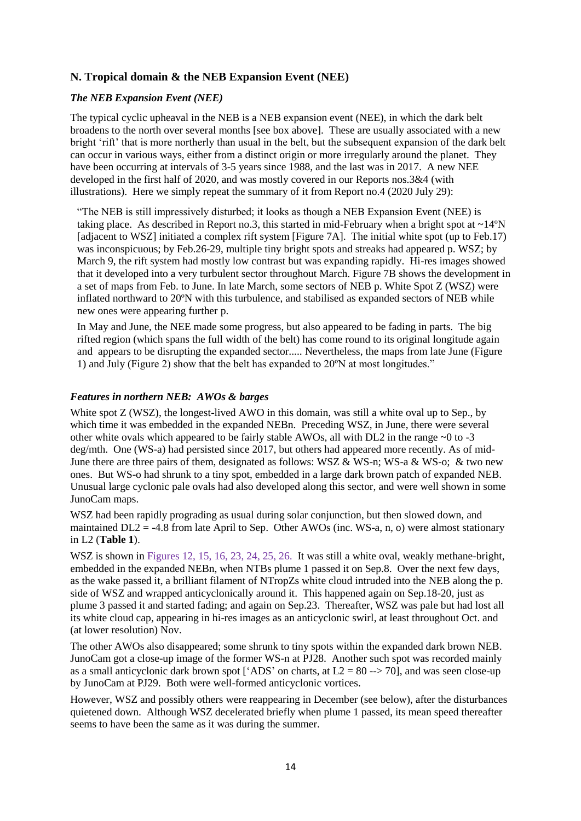# **N. Tropical domain & the NEB Expansion Event (NEE)**

# *The NEB Expansion Event (NEE)*

The typical cyclic upheaval in the NEB is a NEB expansion event (NEE), in which the dark belt broadens to the north over several months [see box above]. These are usually associated with a new bright 'rift' that is more northerly than usual in the belt, but the subsequent expansion of the dark belt can occur in various ways, either from a distinct origin or more irregularly around the planet. They have been occurring at intervals of 3-5 years since 1988, and the last was in 2017. A new NEE developed in the first half of 2020, and was mostly covered in our Reports nos.3&4 (with illustrations). Here we simply repeat the summary of it from Report no.4 (2020 July 29):

"The NEB is still impressively disturbed; it looks as though a NEB Expansion Event (NEE) is taking place. As described in Report no.3, this started in mid-February when a bright spot at  $\sim$ 14°N [adjacent to WSZ] initiated a complex rift system [Figure 7A]. The initial white spot (up to Feb.17) was inconspicuous; by Feb.26-29, multiple tiny bright spots and streaks had appeared p. WSZ; by March 9, the rift system had mostly low contrast but was expanding rapidly. Hi-res images showed that it developed into a very turbulent sector throughout March. Figure 7B shows the development in a set of maps from Feb. to June. In late March, some sectors of NEB p. White Spot Z (WSZ) were inflated northward to 20ºN with this turbulence, and stabilised as expanded sectors of NEB while new ones were appearing further p.

In May and June, the NEE made some progress, but also appeared to be fading in parts. The big rifted region (which spans the full width of the belt) has come round to its original longitude again and appears to be disrupting the expanded sector..... Nevertheless, the maps from late June (Figure 1) and July (Figure 2) show that the belt has expanded to 20ºN at most longitudes."

# *Features in northern NEB: AWOs & barges*

White spot Z (WSZ), the longest-lived AWO in this domain, was still a white oval up to Sep., by which time it was embedded in the expanded NEBn. Preceding WSZ, in June, there were several other white ovals which appeared to be fairly stable AWOs, all with DL2 in the range  $\sim$ 0 to -3 deg/mth. One (WS-a) had persisted since 2017, but others had appeared more recently. As of mid-June there are three pairs of them, designated as follows: WSZ & WS-n; WS-a & WS-o; & two new ones. But WS-o had shrunk to a tiny spot, embedded in a large dark brown patch of expanded NEB. Unusual large cyclonic pale ovals had also developed along this sector, and were well shown in some JunoCam maps.

WSZ had been rapidly prograding as usual during solar conjunction, but then slowed down, and maintained  $DL2 = -4.8$  from late April to Sep. Other AWOs (inc. WS-a, n, o) were almost stationary in L2 (**Table 1**).

WSZ is shown in Figures 12, 15, 16, 23, 24, 25, 26. It was still a white oval, weakly methane-bright, embedded in the expanded NEBn, when NTBs plume 1 passed it on Sep.8. Over the next few days, as the wake passed it, a brilliant filament of NTropZs white cloud intruded into the NEB along the p. side of WSZ and wrapped anticyclonically around it. This happened again on Sep.18-20, just as plume 3 passed it and started fading; and again on Sep.23. Thereafter, WSZ was pale but had lost all its white cloud cap, appearing in hi-res images as an anticyclonic swirl, at least throughout Oct. and (at lower resolution) Nov.

The other AWOs also disappeared; some shrunk to tiny spots within the expanded dark brown NEB. JunoCam got a close-up image of the former WS-n at PJ28. Another such spot was recorded mainly as a small anticyclonic dark brown spot ['ADS' on charts, at  $L2 = 80 \rightarrow 70$ ], and was seen close-up by JunoCam at PJ29. Both were well-formed anticyclonic vortices.

However, WSZ and possibly others were reappearing in December (see below), after the disturbances quietened down. Although WSZ decelerated briefly when plume 1 passed, its mean speed thereafter seems to have been the same as it was during the summer.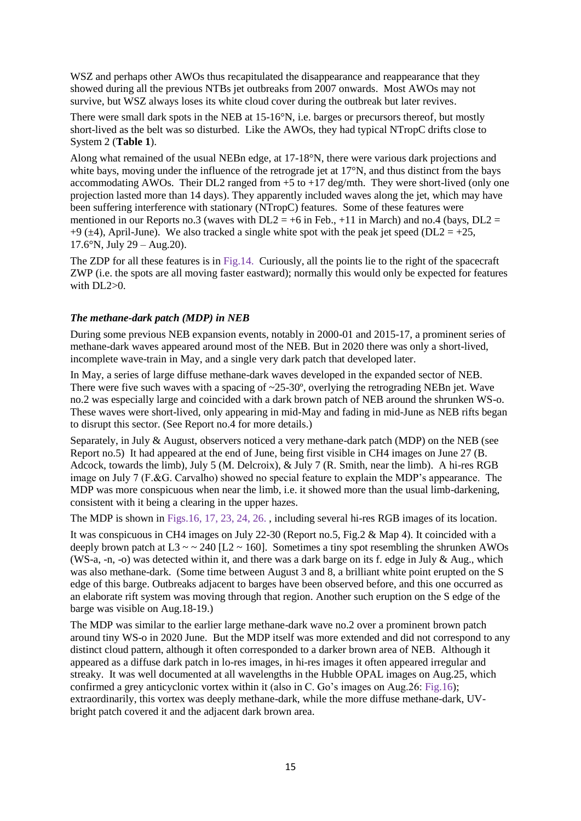WSZ and perhaps other AWOs thus recapitulated the disappearance and reappearance that they showed during all the previous NTBs jet outbreaks from 2007 onwards. Most AWOs may not survive, but WSZ always loses its white cloud cover during the outbreak but later revives.

There were small dark spots in the NEB at 15-16°N, i.e. barges or precursors thereof, but mostly short-lived as the belt was so disturbed. Like the AWOs, they had typical NTropC drifts close to System 2 (**Table 1**).

Along what remained of the usual NEBn edge, at 17-18°N, there were various dark projections and white bays, moving under the influence of the retrograde jet at 17<sup>°</sup>N, and thus distinct from the bays accommodating AWOs. Their DL2 ranged from  $+5$  to  $+17$  deg/mth. They were short-lived (only one projection lasted more than 14 days). They apparently included waves along the jet, which may have been suffering interference with stationary (NTropC) features. Some of these features were mentioned in our Reports no.3 (waves with  $DL2 = +6$  in Feb., +11 in March) and no.4 (bays,  $DL2 =$ +9 ( $\pm$ 4), April-June). We also tracked a single white spot with the peak jet speed (DL2 = +25,  $17.6^{\circ}$ N, July 29 – Aug. 20).

The ZDP for all these features is in Fig.14. Curiously, all the points lie to the right of the spacecraft ZWP (i.e. the spots are all moving faster eastward); normally this would only be expected for features with  $DI.2>0$ .

# *The methane-dark patch (MDP) in NEB*

During some previous NEB expansion events, notably in 2000-01 and 2015-17, a prominent series of methane-dark waves appeared around most of the NEB. But in 2020 there was only a short-lived, incomplete wave-train in May, and a single very dark patch that developed later.

In May, a series of large diffuse methane-dark waves developed in the expanded sector of NEB. There were five such waves with a spacing of  $\sim$ 25-30 $^{\circ}$ , overlying the retrograding NEBn jet. Wave no.2 was especially large and coincided with a dark brown patch of NEB around the shrunken WS-o. These waves were short-lived, only appearing in mid-May and fading in mid-June as NEB rifts began to disrupt this sector. (See Report no.4 for more details.)

Separately, in July & August, observers noticed a very methane-dark patch (MDP) on the NEB (see Report no.5) It had appeared at the end of June, being first visible in CH4 images on June 27 (B. Adcock, towards the limb), July 5 (M. Delcroix), & July 7 (R. Smith, near the limb). A hi-res RGB image on July 7 (F.&G. Carvalho) showed no special feature to explain the MDP's appearance. The MDP was more conspicuous when near the limb, i.e. it showed more than the usual limb-darkening, consistent with it being a clearing in the upper hazes.

The MDP is shown in Figs.16, 17, 23, 24, 26. , including several hi-res RGB images of its location.

It was conspicuous in CH4 images on July 22-30 (Report no.5, Fig.2 & Map 4). It coincided with a deeply brown patch at  $L3 \sim 240$  [L2  $\sim 160$ ]. Sometimes a tiny spot resembling the shrunken AWOs (WS-a, -n, -o) was detected within it, and there was a dark barge on its f. edge in July & Aug., which was also methane-dark. (Some time between August 3 and 8, a brilliant white point erupted on the S edge of this barge. Outbreaks adjacent to barges have been observed before, and this one occurred as an elaborate rift system was moving through that region. Another such eruption on the S edge of the barge was visible on Aug.18-19.)

The MDP was similar to the earlier large methane-dark wave no.2 over a prominent brown patch around tiny WS-o in 2020 June. But the MDP itself was more extended and did not correspond to any distinct cloud pattern, although it often corresponded to a darker brown area of NEB. Although it appeared as a diffuse dark patch in lo-res images, in hi-res images it often appeared irregular and streaky. It was well documented at all wavelengths in the Hubble OPAL images on Aug.25, which confirmed a grey anticyclonic vortex within it (also in C. Go's images on Aug.26: Fig.16); extraordinarily, this vortex was deeply methane-dark, while the more diffuse methane-dark, UVbright patch covered it and the adjacent dark brown area.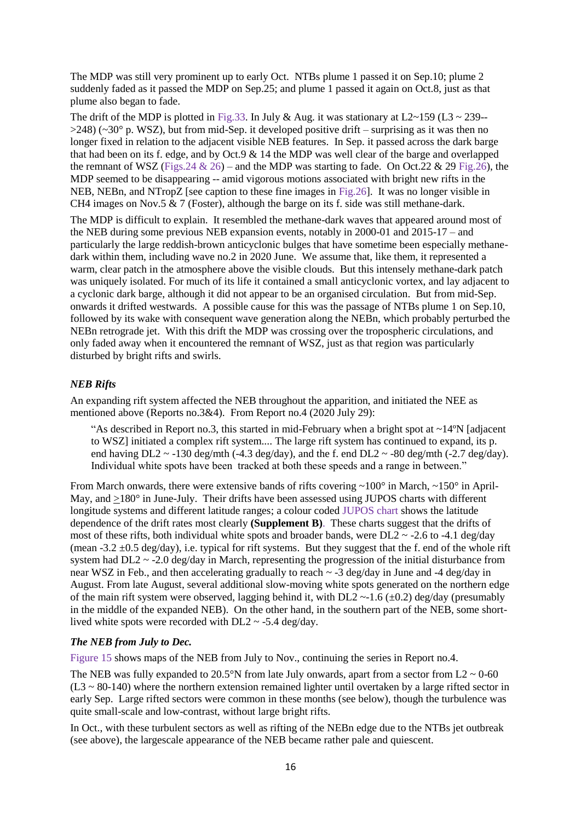The MDP was still very prominent up to early Oct. NTBs plume 1 passed it on Sep.10; plume 2 suddenly faded as it passed the MDP on Sep.25; and plume 1 passed it again on Oct.8, just as that plume also began to fade.

The drift of the MDP is plotted in Fig.33. In July & Aug. it was stationary at L2~159 (L3 ~ 239-- $>248$ ) ( $\sim$ 30° p. WSZ), but from mid-Sep. it developed positive drift – surprising as it was then no longer fixed in relation to the adjacent visible NEB features. In Sep. it passed across the dark barge that had been on its f. edge, and by Oct.9 & 14 the MDP was well clear of the barge and overlapped the remnant of WSZ (Figs. 24  $\&$  26) – and the MDP was starting to fade. On Oct. 22  $\&$  29 Fig. 26), the MDP seemed to be disappearing -- amid vigorous motions associated with bright new rifts in the NEB, NEBn, and NTropZ [see caption to these fine images in Fig.26]. It was no longer visible in CH4 images on Nov.5  $\&$  7 (Foster), although the barge on its f. side was still methane-dark.

The MDP is difficult to explain. It resembled the methane-dark waves that appeared around most of the NEB during some previous NEB expansion events, notably in 2000-01 and 2015-17 – and particularly the large reddish-brown anticyclonic bulges that have sometime been especially methanedark within them, including wave no.2 in 2020 June. We assume that, like them, it represented a warm, clear patch in the atmosphere above the visible clouds. But this intensely methane-dark patch was uniquely isolated. For much of its life it contained a small anticyclonic vortex, and lay adjacent to a cyclonic dark barge, although it did not appear to be an organised circulation. But from mid-Sep. onwards it drifted westwards. A possible cause for this was the passage of NTBs plume 1 on Sep.10, followed by its wake with consequent wave generation along the NEBn, which probably perturbed the NEBn retrograde jet. With this drift the MDP was crossing over the tropospheric circulations, and only faded away when it encountered the remnant of WSZ, just as that region was particularly disturbed by bright rifts and swirls.

# *NEB Rifts*

An expanding rift system affected the NEB throughout the apparition, and initiated the NEE as mentioned above (Reports no.3&4). From Report no.4 (2020 July 29):

"As described in Report no.3, this started in mid-February when a bright spot at ~14ºN [adjacent to WSZ] initiated a complex rift system.... The large rift system has continued to expand, its p. end having DL2  $\sim$  -130 deg/mth (-4.3 deg/day), and the f. end DL2  $\sim$  -80 deg/mth (-2.7 deg/day). Individual white spots have been tracked at both these speeds and a range in between."

From March onwards, there were extensive bands of rifts covering  $\sim 100^{\circ}$  in March,  $\sim 150^{\circ}$  in April-May, and >180° in June-July. Their drifts have been assessed using JUPOS charts with different longitude systems and different latitude ranges; a colour coded JUPOS chart shows the latitude dependence of the drift rates most clearly **(Supplement B)**. These charts suggest that the drifts of most of these rifts, both individual white spots and broader bands, were  $DL2 \sim -2.6$  to  $-4.1$  deg/day (mean -3.2  $\pm$ 0.5 deg/day), i.e. typical for rift systems. But they suggest that the f. end of the whole rift system had  $DL2 \sim -2.0$  deg/day in March, representing the progression of the initial disturbance from near WSZ in Feb., and then accelerating gradually to reach  $\sim$  -3 deg/day in June and -4 deg/day in August. From late August, several additional slow-moving white spots generated on the northern edge of the main rift system were observed, lagging behind it, with  $DL2 \sim 1.6 \ (\pm 0.2)$  deg/day (presumably in the middle of the expanded NEB). On the other hand, in the southern part of the NEB, some shortlived white spots were recorded with  $DL2 \sim -5.4 \text{ deg/day}$ .

#### *The NEB from July to Dec.*

Figure 15 shows maps of the NEB from July to Nov., continuing the series in Report no.4.

The NEB was fully expanded to 20.5°N from late July onwards, apart from a sector from  $L2 \sim 0.60$  $(L3 \sim 80-140)$  where the northern extension remained lighter until overtaken by a large rifted sector in early Sep. Large rifted sectors were common in these months (see below), though the turbulence was quite small-scale and low-contrast, without large bright rifts.

In Oct., with these turbulent sectors as well as rifting of the NEBn edge due to the NTBs jet outbreak (see above), the largescale appearance of the NEB became rather pale and quiescent.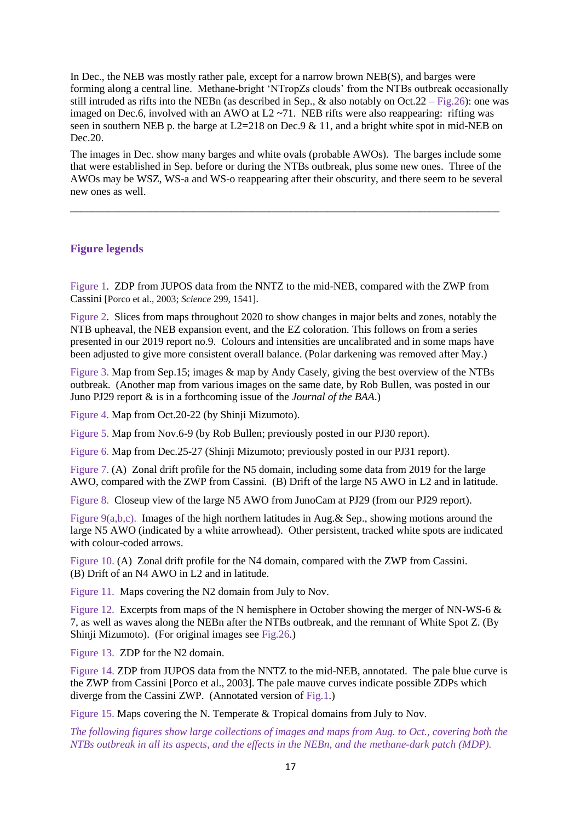In Dec., the NEB was mostly rather pale, except for a narrow brown NEB(S), and barges were forming along a central line. Methane-bright 'NTropZs clouds' from the NTBs outbreak occasionally still intruded as rifts into the NEBn (as described in Sep.,  $\&$  also notably on Oct.22 – Fig.26): one was imaged on Dec.6, involved with an AWO at  $L2 \sim 71$ . NEB rifts were also reappearing: rifting was seen in southern NEB p. the barge at  $L2=218$  on Dec.9 & 11, and a bright white spot in mid-NEB on Dec.20.

The images in Dec. show many barges and white ovals (probable AWOs). The barges include some that were established in Sep. before or during the NTBs outbreak, plus some new ones. Three of the AWOs may be WSZ, WS-a and WS-o reappearing after their obscurity, and there seem to be several new ones as well.

\_\_\_\_\_\_\_\_\_\_\_\_\_\_\_\_\_\_\_\_\_\_\_\_\_\_\_\_\_\_\_\_\_\_\_\_\_\_\_\_\_\_\_\_\_\_\_\_\_\_\_\_\_\_\_\_\_\_\_\_\_\_\_\_\_\_\_\_\_\_\_\_\_\_\_\_\_\_\_\_

# **Figure legends**

Figure 1. ZDP from JUPOS data from the NNTZ to the mid-NEB, compared with the ZWP from Cassini [Porco et al., 2003; *Science* 299, 1541].

Figure 2. Slices from maps throughout 2020 to show changes in major belts and zones, notably the NTB upheaval, the NEB expansion event, and the EZ coloration. This follows on from a series presented in our 2019 report no.9. Colours and intensities are uncalibrated and in some maps have been adjusted to give more consistent overall balance. (Polar darkening was removed after May.)

Figure 3. Map from Sep.15; images & map by Andy Casely, giving the best overview of the NTBs outbreak. (Another map from various images on the same date, by Rob Bullen, was posted in our Juno PJ29 report & is in a forthcoming issue of the *Journal of the BAA*.)

Figure 4. Map from Oct.20-22 (by Shinji Mizumoto).

Figure 5. Map from Nov.6-9 (by Rob Bullen; previously posted in our PJ30 report).

Figure 6. Map from Dec.25-27 (Shinji Mizumoto; previously posted in our PJ31 report).

Figure 7. (A) Zonal drift profile for the N5 domain, including some data from 2019 for the large AWO, compared with the ZWP from Cassini. (B) Drift of the large N5 AWO in L2 and in latitude.

Figure 8. Closeup view of the large N5 AWO from JunoCam at PJ29 (from our PJ29 report).

Figure 9(a,b,c). Images of the high northern latitudes in Aug. & Sep., showing motions around the large N5 AWO (indicated by a white arrowhead). Other persistent, tracked white spots are indicated with colour-coded arrows.

Figure 10. (A) Zonal drift profile for the N4 domain, compared with the ZWP from Cassini. (B) Drift of an N4 AWO in L2 and in latitude.

Figure 11. Maps covering the N2 domain from July to Nov.

Figure 12. Excerpts from maps of the N hemisphere in October showing the merger of NN-WS-6  $\&$ 7, as well as waves along the NEBn after the NTBs outbreak, and the remnant of White Spot Z. (By Shinji Mizumoto). (For original images see Fig.26.)

Figure 13. ZDP for the N2 domain.

Figure 14. ZDP from JUPOS data from the NNTZ to the mid-NEB, annotated. The pale blue curve is the ZWP from Cassini [Porco et al., 2003]. The pale mauve curves indicate possible ZDPs which diverge from the Cassini ZWP. (Annotated version of Fig.1.)

Figure 15. Maps covering the N. Temperate & Tropical domains from July to Nov.

*The following figures show large collections of images and maps from Aug. to Oct., covering both the NTBs outbreak in all its aspects, and the effects in the NEBn, and the methane-dark patch (MDP).*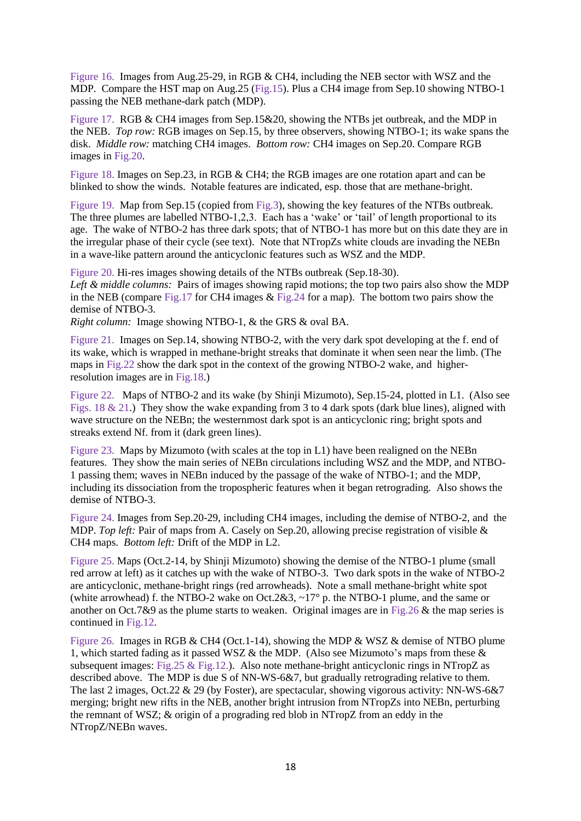Figure 16. Images from Aug.25-29, in RGB & CH4, including the NEB sector with WSZ and the MDP. Compare the HST map on Aug.25 (Fig.15). Plus a CH4 image from Sep.10 showing NTBO-1 passing the NEB methane-dark patch (MDP).

Figure 17. RGB & CH4 images from Sep.15&20, showing the NTBs jet outbreak, and the MDP in the NEB. *Top row:* RGB images on Sep.15, by three observers, showing NTBO-1; its wake spans the disk. *Middle row:* matching CH4 images. *Bottom row:* CH4 images on Sep.20. Compare RGB images in Fig.20.

Figure 18. Images on Sep.23, in RGB & CH4; the RGB images are one rotation apart and can be blinked to show the winds. Notable features are indicated, esp. those that are methane-bright.

Figure 19. Map from Sep.15 (copied from Fig.3), showing the key features of the NTBs outbreak. The three plumes are labelled NTBO-1,2,3. Each has a 'wake' or 'tail' of length proportional to its age. The wake of NTBO-2 has three dark spots; that of NTBO-1 has more but on this date they are in the irregular phase of their cycle (see text). Note that NTropZs white clouds are invading the NEBn in a wave-like pattern around the anticyclonic features such as WSZ and the MDP.

Figure 20. Hi-res images showing details of the NTBs outbreak (Sep.18-30). *Left & middle columns:* Pairs of images showing rapid motions; the top two pairs also show the MDP in the NEB (compare Fig.17 for CH4 images & Fig.24 for a map). The bottom two pairs show the demise of NTBO-3.

*Right column:* Image showing NTBO-1, & the GRS & oval BA.

Figure 21. Images on Sep.14, showing NTBO-2, with the very dark spot developing at the f. end of its wake, which is wrapped in methane-bright streaks that dominate it when seen near the limb. (The maps in Fig.22 show the dark spot in the context of the growing NTBO-2 wake, and higherresolution images are in Fig.18.)

Figure 22. Maps of NTBO-2 and its wake (by Shinji Mizumoto), Sep.15-24, plotted in L1. (Also see Figs. 18  $\&$  21.) They show the wake expanding from 3 to 4 dark spots (dark blue lines), aligned with wave structure on the NEBn; the westernmost dark spot is an anticyclonic ring; bright spots and streaks extend Nf. from it (dark green lines).

Figure 23. Maps by Mizumoto (with scales at the top in L1) have been realigned on the NEBn features. They show the main series of NEBn circulations including WSZ and the MDP, and NTBO-1 passing them; waves in NEBn induced by the passage of the wake of NTBO-1; and the MDP, including its dissociation from the tropospheric features when it began retrograding. Also shows the demise of NTBO-3.

Figure 24. Images from Sep.20-29, including CH4 images, including the demise of NTBO-2, and the MDP. *Top left:* Pair of maps from A. Casely on Sep.20, allowing precise registration of visible & CH4 maps. *Bottom left:* Drift of the MDP in L2.

Figure 25. Maps (Oct.2-14, by Shinji Mizumoto) showing the demise of the NTBO-1 plume (small red arrow at left) as it catches up with the wake of NTBO-3. Two dark spots in the wake of NTBO-2 are anticyclonic, methane-bright rings (red arrowheads). Note a small methane-bright white spot (white arrowhead) f. the NTBO-2 wake on Oct.2&3,  $\sim$ 17° p. the NTBO-1 plume, and the same or another on Oct.7&9 as the plume starts to weaken. Original images are in Fig.26 & the map series is continued in Fig.12.

Figure 26. Images in RGB & CH4 (Oct.1-14), showing the MDP & WSZ & demise of NTBO plume 1, which started fading as it passed WSZ & the MDP. (Also see Mizumoto's maps from these & subsequent images: Fig.25 & Fig.12.). Also note methane-bright anticyclonic rings in NTropZ as described above. The MDP is due S of NN-WS-6&7, but gradually retrograding relative to them. The last 2 images, Oct.22 & 29 (by Foster), are spectacular, showing vigorous activity: NN-WS-6&7 merging; bright new rifts in the NEB, another bright intrusion from NTropZs into NEBn, perturbing the remnant of WSZ; & origin of a prograding red blob in NTropZ from an eddy in the NTropZ/NEBn waves.